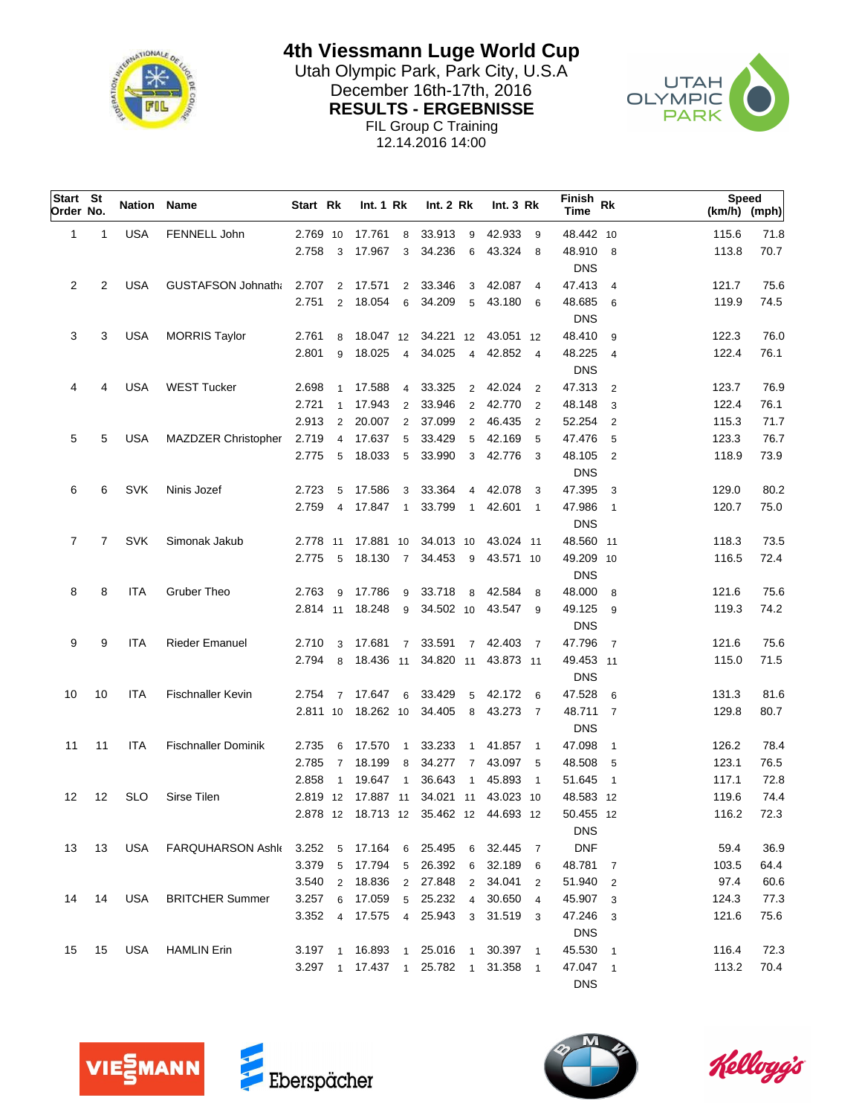

**4th Viessmann Luge World Cup**

Utah Olympic Park, Park City, U.S.A<br>
Desember 16th 17th, 2016 December 16th-17th, 2016<br>
DECIU TO FROEDWOOF CLYMPIC **RESULTS - ERGEBNISSE** FIL Group C Training



12.14.2016 14:00

| Start St<br>Order No. |    | Nation     | Name                       | Start Rk  |                | Int. 1 Rk       |                | Int. 2 Rk                              |                | Int.3 Rk  |                            | Finish<br>Time | Rk                      | <b>Speed</b><br>(km/h) (mph) |      |
|-----------------------|----|------------|----------------------------|-----------|----------------|-----------------|----------------|----------------------------------------|----------------|-----------|----------------------------|----------------|-------------------------|------------------------------|------|
| $\mathbf{1}$          | 1  | <b>USA</b> | FENNELL John               | 2.769 10  |                | 17.761 8        |                | 33.913                                 | - 9            | 42.933 9  |                            | 48.442 10      |                         | 115.6                        | 71.8 |
|                       |    |            |                            | 2.758     | 3              | 17.967          | 3              | 34.236                                 | 6              | 43.324 8  |                            | 48.910 8       |                         | 113.8                        | 70.7 |
|                       |    |            |                            |           |                |                 |                |                                        |                |           |                            | <b>DNS</b>     |                         |                              |      |
| $\overline{2}$        | 2  | <b>USA</b> | <b>GUSTAFSON Johnath:</b>  | 2.707     | 2              | 17.571          | $\overline{2}$ | 33.346                                 | 3              | 42.087    | $\overline{4}$             | 47.413 4       |                         | 121.7                        | 75.6 |
|                       |    |            |                            | 2.751     | 2              | 18.054          | 6              | 34.209                                 | 5              | 43.180    | - 6                        | 48.685 6       |                         | 119.9                        | 74.5 |
|                       |    |            |                            |           |                |                 |                |                                        |                |           |                            | <b>DNS</b>     |                         |                              |      |
| 3                     | 3  | <b>USA</b> | <b>MORRIS Taylor</b>       | 2.761     | 8              |                 |                | 18.047 12 34.221 12                    |                | 43.051 12 |                            | 48.410         | - 9                     | 122.3                        | 76.0 |
|                       |    |            |                            | 2.801     | 9              | 18.025          | $\overline{4}$ | 34.025                                 | $\overline{4}$ | 42.852 4  |                            | 48.225         | $\overline{4}$          | 122.4                        | 76.1 |
|                       |    |            |                            |           |                |                 |                |                                        |                |           |                            | <b>DNS</b>     |                         |                              |      |
| 4                     | 4  | <b>USA</b> | <b>WEST Tucker</b>         | 2.698     | $\overline{1}$ | 17.588          |                | 4 33.325                               | $\overline{2}$ | 42.024    | $\overline{\phantom{0}}^2$ | 47.313         | $\overline{2}$          | 123.7                        | 76.9 |
|                       |    |            |                            | 2.721     | $\overline{1}$ | 17.943          | 2              | 33.946                                 | $\overline{2}$ | 42.770    | $\overline{2}$             | 48.148         | 3                       | 122.4                        | 76.1 |
|                       |    |            |                            | 2.913     | 2              | 20.007          | 2              | 37.099                                 | 2              | 46.435    | $\overline{2}$             | 52.254         | $\overline{2}$          | 115.3                        | 71.7 |
| 5                     | 5  | USA        | MAZDZER Christopher        | 2.719     | 4              | 17.637          | 5              | 33.429                                 | 5              | 42.169    | 5                          | 47.476         | 5                       | 123.3                        | 76.7 |
|                       |    |            |                            | 2.775     | 5              | 18.033          | 5              | 33.990                                 | 3              | 42.776    | $\overline{\mathbf{3}}$    | 48.105         | $\overline{2}$          | 118.9                        | 73.9 |
|                       |    |            |                            |           |                |                 |                |                                        |                |           |                            | <b>DNS</b>     |                         |                              |      |
| 6                     | 6  | <b>SVK</b> | Ninis Jozef                | 2.723     | 5              | 17.586          | 3              | 33.364                                 | $\overline{4}$ | 42.078    | 3                          | 47.395         | 3                       | 129.0                        | 80.2 |
|                       |    |            |                            | 2.759     | 4              | 17.847          | $\mathbf{1}$   | 33.799                                 | $\mathbf{1}$   | 42.601    | $\overline{1}$             | 47.986         | $\overline{1}$          | 120.7                        | 75.0 |
|                       |    |            |                            |           |                |                 |                |                                        |                |           |                            | <b>DNS</b>     |                         |                              |      |
| 7                     | 7  | <b>SVK</b> | Simonak Jakub              | 2.778 11  |                | 17.881 10       |                | 34.013 10                              |                | 43.024 11 |                            | 48.560 11      |                         | 118.3                        | 73.5 |
|                       |    |            |                            | 2.775     | 5              | 18.130          | $\overline{7}$ | 34.453                                 | - 9            | 43.571 10 |                            | 49.209 10      |                         | 116.5                        | 72.4 |
|                       |    |            |                            |           |                |                 |                |                                        |                |           |                            | <b>DNS</b>     |                         |                              |      |
| 8                     | 8  | ITA        | Gruber Theo                | 2.763     | 9              | 17.786          | 9              | 33.718                                 | 8              | 42.584    | -8                         | 48.000         | 8                       | 121.6                        | 75.6 |
|                       |    |            |                            |           |                | 2.814 11 18.248 | 9              | 34.502 10                              |                | 43.547    | - 9                        | 49.125         | - 9                     | 119.3                        | 74.2 |
|                       |    |            |                            |           |                |                 |                |                                        |                |           |                            | <b>DNS</b>     |                         |                              |      |
| 9                     | 9  | ITA        | <b>Rieder Emanuel</b>      | 2.710     | 3              | 17.681 7        |                | 33.591                                 | $\overline{7}$ | 42.403    | $\overline{7}$             | 47.796         | $\overline{7}$          | 121.6                        | 75.6 |
|                       |    |            |                            | 2.794     | 8              | 18.436 11       |                | 34.820 11                              |                | 43.873 11 |                            | 49.453 11      |                         | 115.0                        | 71.5 |
|                       |    |            |                            |           |                |                 |                |                                        |                |           |                            | <b>DNS</b>     |                         |                              |      |
| 10                    | 10 | <b>ITA</b> | Fischnaller Kevin          | 2.754     |                | 7 17.647        | 6              | 33.429                                 | 5              | 42.172 6  |                            | 47.528         | - 6                     | 131.3                        | 81.6 |
|                       |    |            |                            | 2.811 10  |                | 18.262 10       |                | 34.405                                 | 8              | 43.273    | $\overline{7}$             | 48.711 7       |                         | 129.8                        | 80.7 |
|                       |    |            |                            |           |                |                 |                |                                        |                |           |                            | <b>DNS</b>     |                         |                              |      |
| 11                    | 11 | ITA        | <b>Fischnaller Dominik</b> | 2.735     | 6              | 17.570          | $\overline{1}$ | 33.233                                 | $\overline{1}$ | 41.857    | $\overline{1}$             | 47.098         | $\overline{1}$          | 126.2                        | 78.4 |
|                       |    |            |                            | 2.785     | $\overline{7}$ | 18.199          | 8              | 34.277                                 | $\overline{7}$ | 43.097    | - 5                        | 48.508         | - 5                     | 123.1                        | 76.5 |
|                       |    |            |                            | 2.858     | $\overline{1}$ | 19.647 1        |                | 36.643                                 | $\overline{1}$ | 45.893    | $\overline{1}$             | 51.645         | $\overline{1}$          | 117.1                        | 72.8 |
| 12                    | 12 | <b>SLO</b> | Sirse Tilen                | 2.819 12  |                | 17.887 11       |                | 34.021 11                              |                | 43.023 10 |                            | 48.583 12      |                         | 119.6                        | 74.4 |
|                       |    |            |                            |           |                |                 |                | 2.878 12 18.713 12 35.462 12 44.693 12 |                |           |                            | 50.455 12      |                         | 116.2                        | 72.3 |
|                       |    |            |                            |           |                |                 |                |                                        |                |           |                            | <b>DNS</b>     |                         |                              |      |
| 13                    | 13 | USA        | FARQUHARSON Ashle 3.252    |           |                | 5 17.164        |                | 6 25.495                               | 6              | 32.445    | $\overline{7}$             | <b>DNF</b>     |                         | 59.4                         | 36.9 |
|                       |    |            |                            | 3.379     | 5              | 17.794          | 5 <sup>5</sup> | 26.392                                 | 6              | 32.189    | 6                          | 48.781 7       |                         | 103.5                        | 64.4 |
|                       |    |            |                            | 3.540     | 2              | 18.836          |                | 2 27.848                               | $\overline{2}$ | 34.041    | $\overline{2}$             | 51.940         | $\overline{\mathbf{2}}$ | 97.4                         | 60.6 |
| 14                    | 14 | <b>USA</b> | <b>BRITCHER Summer</b>     | 3.257     | 6              | 17.059          |                | 5 25.232                               | $\overline{4}$ | 30.650    | $\overline{4}$             | 45.907         | $\overline{\mathbf{3}}$ | 124.3                        | 77.3 |
|                       |    |            |                            | 3.352     |                | 4 17.575        | $\overline{4}$ | 25.943                                 | 3              | 31.519    | $\overline{\mathbf{3}}$    | 47.246 3       |                         | 121.6                        | 75.6 |
|                       |    |            |                            |           |                |                 |                |                                        |                |           |                            | <b>DNS</b>     |                         |                              |      |
| 15                    | 15 | <b>USA</b> | <b>HAMLIN Erin</b>         | $3.197$ 1 |                | 16.893          |                | 1 25.016                               | $\mathbf{1}$   | 30.397    | $\overline{1}$             | 45.530         | $\overline{1}$          | 116.4                        | 72.3 |
|                       |    |            |                            |           |                |                 |                | 3.297 1 17.437 1 25.782 1 31.358       |                |           | $\overline{1}$             | 47.047 1       |                         | 113.2                        | 70.4 |
|                       |    |            |                            |           |                |                 |                |                                        |                |           |                            | <b>DNS</b>     |                         |                              |      |
|                       |    |            |                            |           |                |                 |                |                                        |                |           |                            |                |                         |                              |      |